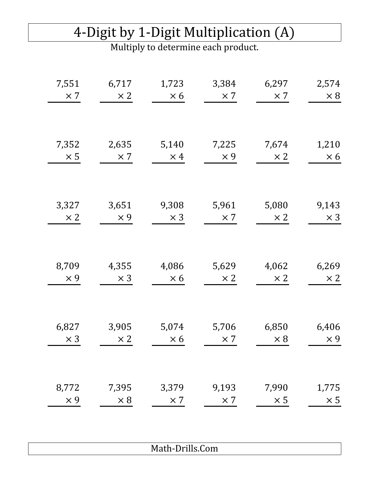# 4-Digit by 1-Digit Multiplication (A)

Multiply to determine each product.

| 7,551      | 6,717      | 1,723      | 3,384      | 6,297      | 2,574      |
|------------|------------|------------|------------|------------|------------|
| $\times 7$ | $\times 2$ | $\times 6$ | $\times 7$ | $\times 7$ | $\times 8$ |
| 7,352      | 2,635      | 5,140      | 7,225      | 7,674      | 1,210      |
| $\times$ 5 | $\times$ 7 | $\times$ 4 | $\times 9$ | $\times 2$ | $\times 6$ |
| 3,327      | 3,651      | 9,308      | 5,961      | 5,080      | 9,143      |
| $\times 2$ | $\times 9$ | $\times$ 3 | $\times 7$ | $\times 2$ | $\times$ 3 |
| 8,709      | 4,355      | 4,086      | 5,629      | 4,062      | 6,269      |
| $\times$ 9 | $\times$ 3 | $\times 6$ | $\times 2$ | $\times 2$ | $\times 2$ |
| 6,827      | 3,905      | 5,074      | 5,706      | 6,850      | 6,406      |
| $\times$ 3 | $\times 2$ | $\times 6$ | $\times 7$ | $\times 8$ | $\times$ 9 |
| 8,772      | 7,395      | 3,379      | 9,193      | 7,990      | 1,775      |
| $\times 9$ | $\times 8$ | $\times 7$ | $\times$ 7 | $\times$ 5 | $\times$ 5 |
|            |            |            |            |            |            |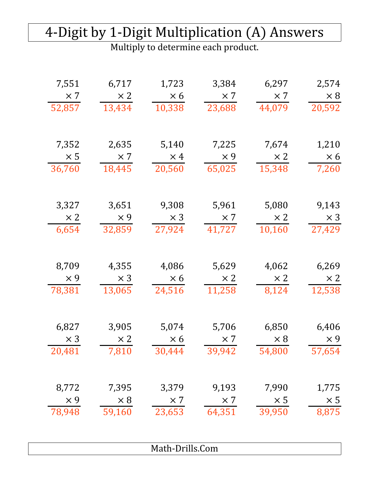#### 4-Digit by 1-Digit Multiplication (A) Answers

| 7,551      | 6,717      | 1,723           | 3,384      | 6,297      | 2,574      |
|------------|------------|-----------------|------------|------------|------------|
| $\times 7$ | $\times 2$ | $\times 6$      | $\times 7$ | $\times 7$ | $\times 8$ |
| 52,857     | 13,434     | 10,338          | 23,688     | 44,079     | 20,592     |
| 7,352      | 2,635      | 5,140           | 7,225      | 7,674      | 1,210      |
| $\times$ 5 | $\times 7$ | $\times$ 4      | $\times 9$ | $\times 2$ | $\times 6$ |
| 36,760     | 18,445     | 20,560          | 65,025     | 15,348     | 7,260      |
| 3,327      | 3,651      | 9,308           | 5,961      | 5,080      | 9,143      |
| $\times 2$ | $\times$ 9 | $\times$ 3      | $\times 7$ | $\times 2$ | $\times$ 3 |
| 6,654      | 32,859     | 27,924          | 41,727     | 10,160     | 27,429     |
| 8,709      | 4,355      | 4,086           | 5,629      | 4,062      | 6,269      |
| $\times$ 9 | $\times 3$ | $\times 6$      | $\times 2$ | $\times 2$ | $\times 2$ |
| 78,381     | 13,065     | 24,516          | 11,258     | 8,124      | 12,538     |
| 6,827      | 3,905      | 5,074           | 5,706      | 6,850      | 6,406      |
| $\times$ 3 | $\times 2$ | $\times 6$      | $\times 7$ | $\times 8$ | $\times 9$ |
| 20,481     | 7,810      | 30,444          | 39,942     | 54,800     | 57,654     |
| 8,772      | 7,395      | 3,379           | 9,193      | 7,990      | 1,775      |
| $\times$ 9 | $\times 8$ | $\times 7$      | $\times 7$ | $\times$ 5 | $\times$ 5 |
| 78,948     | 59,160     | 23,653          | 64,351     | 39,950     | 8,875      |
|            |            | Math-Drills.Com |            |            |            |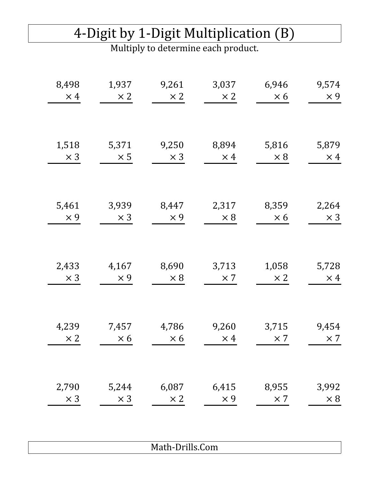#### 4-Digit by 1-Digit Multiplication (B)

Multiply to determine each product.

| 8,498<br>$\times$ 4 | 1,937<br>$\times 2$ | 9,261<br>$\times 2$ | 3,037<br>$\times 2$ | 6,946<br>$\times 6$ | 9,574<br>$\times$ 9 |
|---------------------|---------------------|---------------------|---------------------|---------------------|---------------------|
|                     |                     |                     |                     |                     |                     |
| 1,518<br>$\times$ 3 | 5,371<br>$\times$ 5 | 9,250<br>$\times$ 3 | 8,894<br>$\times$ 4 | 5,816<br>$\times 8$ | 5,879<br>$\times$ 4 |
|                     |                     |                     |                     |                     |                     |
| 5,461               | 3,939               | 8,447               | 2,317               | 8,359               | 2,264               |
| $\times$ 9          | $\times$ 3          | $\times$ 9          | $\times 8$          | $\times 6$          | $\times$ 3          |
|                     |                     |                     |                     |                     |                     |
| 2,433<br>$\times 3$ | 4,167<br>$\times$ 9 | 8,690<br>$\times 8$ | 3,713<br>$\times 7$ | 1,058<br>$\times 2$ | 5,728<br>$\times$ 4 |
|                     |                     |                     |                     |                     |                     |
| 4,239               | 7,457               | 4,786               | 9,260               | 3,715               | 9,454               |
| $\times 2$          | $\times 6$          | $\times 6$          | $\times$ 4          | $\times$ 7          | $\times 7$          |
| 2,790               | 5,244               | 6,087               | 6,415               | 8,955               | 3,992               |
| $\times$ 3          | $\times$ 3          | $\times 2$          | $\times$ 9          | $\times$ 7          | $\times 8$          |
|                     |                     |                     |                     |                     |                     |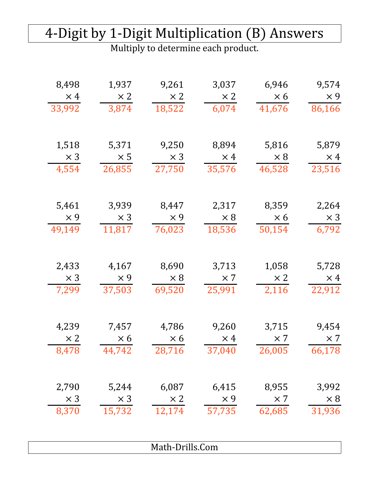#### 4-Digit by 1-Digit Multiplication (B) Answers

| 8,498      | 1,937      | 9,261           | 3,037      | 6,946      | 9,574      |
|------------|------------|-----------------|------------|------------|------------|
| $\times$ 4 | $\times 2$ | $\times 2$      | $\times 2$ | $\times 6$ | $\times$ 9 |
| 33,992     | 3,874      | 18,522          | 6,074      | 41,676     | 86,166     |
| 1,518      | 5,371      | 9,250           | 8,894      | 5,816      | 5,879      |
| $\times$ 3 | $\times 5$ | $\times$ 3      | $\times$ 4 | $\times 8$ | $\times$ 4 |
| 4,554      | 26,855     | 27,750          | 35,576     | 46,528     | 23,516     |
| 5,461      | 3,939      | 8,447           | 2,317      | 8,359      | 2,264      |
| $\times$ 9 | $\times$ 3 | $\times 9$      | $\times 8$ | $\times 6$ | $\times$ 3 |
| 49,149     | 11,817     | 76,023          | 18,536     | 50,154     | 6,792      |
| 2,433      | 4,167      | 8,690           | 3,713      | 1,058      | 5,728      |
| $\times$ 3 | $\times$ 9 | $\times 8$      | $\times 7$ | $\times 2$ | $\times$ 4 |
| 7,299      | 37,503     | 69,520          | 25,991     | 2,116      | 22,912     |
| 4,239      | 7,457      | 4,786           | 9,260      | 3,715      | 9,454      |
| $\times 2$ | $\times 6$ | $\times 6$      | $\times$ 4 | $\times 7$ | $\times 7$ |
| 8,478      | 44,742     | 28,716          | 37,040     | 26,005     | 66,178     |
| 2,790      | 5,244      | 6,087           | 6,415      | 8,955      | 3,992      |
| $\times$ 3 | $\times$ 3 | $\times 2$      | $\times$ 9 | $\times$ 7 | $\times 8$ |
| 8,370      | 15,732     | 12,174          | 57,735     | 62,685     | 31,936     |
|            |            | Math-Drills.Com |            |            |            |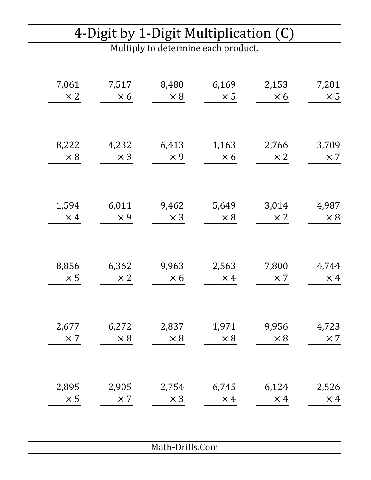#### 4-Digit by 1-Digit Multiplication (C)

Multiply to determine each product.

| 7,061<br>$\times 2$ | 7,517<br>$\times 6$ | 8,480<br>$\times 8$ | 6,169<br>$\times$ 5 | 2,153<br>$\times 6$ | 7,201<br>$\times$ 5 |
|---------------------|---------------------|---------------------|---------------------|---------------------|---------------------|
|                     |                     |                     |                     |                     |                     |
| 8,222<br>$\times 8$ | 4,232<br>$\times$ 3 | 6,413<br>$\times$ 9 | 1,163<br>$\times 6$ | 2,766<br>$\times 2$ | 3,709<br>$\times$ 7 |
|                     |                     |                     |                     |                     |                     |
| 1,594<br>$\times$ 4 | 6,011<br>$\times$ 9 | 9,462<br>$\times$ 3 | 5,649<br>$\times 8$ | 3,014<br>$\times 2$ | 4,987<br>$\times 8$ |
|                     |                     |                     |                     |                     |                     |
| 8,856<br>$\times 5$ | 6,362<br>$\times 2$ | 9,963<br>$\times 6$ | 2,563<br>$\times$ 4 | 7,800<br>$\times 7$ | 4,744<br>$\times$ 4 |
|                     |                     |                     |                     |                     |                     |
| 2,677<br>$\times$ 7 | 6,272<br>$\times 8$ | 2,837<br>$\times 8$ | 1,971<br>$\times 8$ | 9,956<br>$\times 8$ | 4,723<br>$\times 7$ |
| 2,895               | 2,905               | 2,754               | 6,745               | 6,124               | 2,526               |
| $\times$ 5          | $\times$ 7          | $\times$ 3          | $\times$ 4          | $\times$ 4          | $\times$ 4          |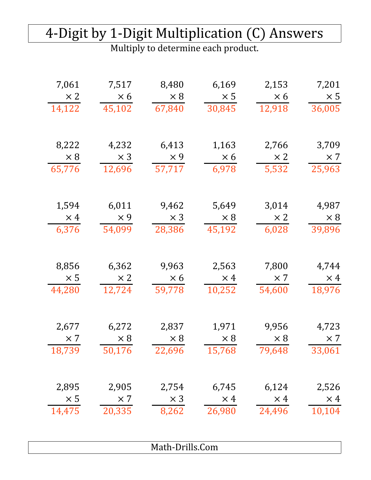#### 4-Digit by 1-Digit Multiplication (C) Answers

| 7,061      | 7,517      | 8,480           | 6,169      | 2,153      | 7,201      |
|------------|------------|-----------------|------------|------------|------------|
| $\times 2$ | $\times 6$ | $\times 8$      | $\times$ 5 | $\times 6$ | $\times$ 5 |
| 14,122     | 45,102     | 67,840          | 30,845     | 12,918     | 36,005     |
| 8,222      | 4,232      | 6,413           | 1,163      | 2,766      | 3,709      |
| $\times 8$ | $\times$ 3 | $\times$ 9      | $\times 6$ | $\times 2$ | $\times 7$ |
| 65,776     | 12,696     | 57,717          | 6,978      | 5,532      | 25,963     |
| 1,594      | 6,011      | 9,462           | 5,649      | 3,014      | 4,987      |
| $\times$ 4 | $\times$ 9 | $\times$ 3      | $\times 8$ | $\times 2$ | $\times 8$ |
| 6,376      | 54,099     | 28,386          | 45,192     | 6,028      | 39,896     |
| 8,856      | 6,362      | 9,963           | 2,563      | 7,800      | 4,744      |
| $\times 5$ | $\times 2$ | $\times 6$      | $\times$ 4 | $\times 7$ | $\times$ 4 |
| 44,280     | 12,724     | 59,778          | 10,252     | 54,600     | 18,976     |
| 2,677      | 6,272      | 2,837           | 1,971      | 9,956      | 4,723      |
| $\times 7$ | $\times 8$ | $\times 8$      | $\times 8$ | $\times 8$ | $\times 7$ |
| 18,739     | 50,176     | 22,696          | 15,768     | 79,648     | 33,061     |
| 2,895      | 2,905      | 2,754           | 6,745      | 6,124      | 2,526      |
| $\times 5$ | $\times 7$ | $\times$ 3      | $\times$ 4 | $\times$ 4 | $\times$ 4 |
| 14,475     | 20,335     | 8,262           | 26,980     | 24,496     | 10,104     |
|            |            | Math-Drills.Com |            |            |            |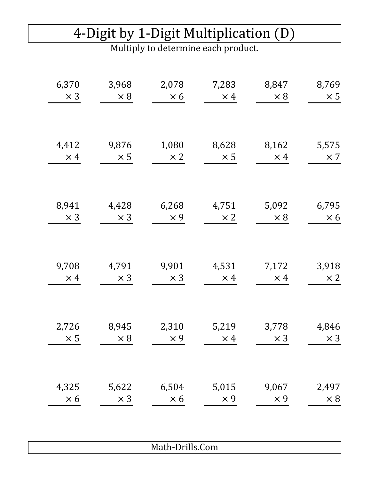# 4-Digit by 1-Digit Multiplication (D)

Multiply to determine each product.

| 6,370      | 3,968      | 2,078      | 7,283      | 8,847      | 8,769      |
|------------|------------|------------|------------|------------|------------|
| $\times$ 3 | $\times 8$ | $\times 6$ | $\times$ 4 | $\times 8$ | $\times$ 5 |
|            |            |            |            |            |            |
| 4,412      | 9,876      | 1,080      | 8,628      | 8,162      | 5,575      |
| $\times$ 4 | $\times 5$ | $\times 2$ | $\times 5$ | $\times$ 4 | $\times 7$ |
|            |            |            |            |            |            |
| 8,941      | 4,428      | 6,268      | 4,751      | 5,092      | 6,795      |
| $\times$ 3 | $\times$ 3 | $\times$ 9 | $\times 2$ | $\times 8$ | $\times 6$ |
|            |            |            |            |            |            |
| 9,708      | 4,791      | 9,901      | 4,531      | 7,172      | 3,918      |
| $\times$ 4 | $\times$ 3 | $\times$ 3 | $\times$ 4 | $\times$ 4 | $\times 2$ |
|            |            |            |            |            |            |
| 2,726      | 8,945      | 2,310      | 5,219      | 3,778      | 4,846      |
| $\times$ 5 | $\times 8$ | $\times 9$ | $\times$ 4 | $\times$ 3 | $\times 3$ |
| 4,325      | 5,622      | 6,504      | 5,015      | 9,067      | 2,497      |
| $\times 6$ | $\times$ 3 | $\times 6$ | $\times 9$ | $\times$ 9 | $\times 8$ |
|            |            |            |            |            |            |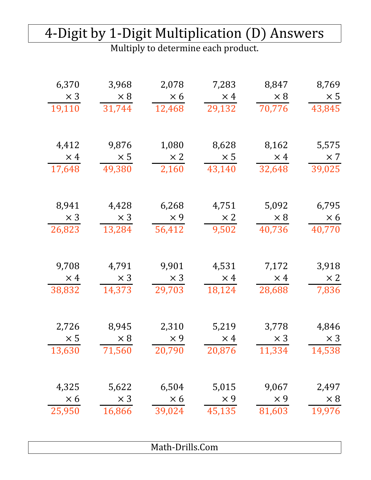#### 4-Digit by 1-Digit Multiplication (D) Answers

| 6,370      | 3,968      | 2,078           | 7,283      | 8,847      | 8,769      |
|------------|------------|-----------------|------------|------------|------------|
| $\times$ 3 | $\times 8$ | $\times 6$      | $\times$ 4 | $\times 8$ | $\times$ 5 |
| 19,110     | 31,744     | 12,468          | 29,132     | 70,776     | 43,845     |
| 4,412      | 9,876      | 1,080           | 8,628      | 8,162      | 5,575      |
| $\times$ 4 | $\times 5$ | $\times 2$      | $\times 5$ | $\times$ 4 | $\times$ 7 |
| 17,648     | 49,380     | 2,160           | 43,140     | 32,648     | 39,025     |
| 8,941      | 4,428      | 6,268           | 4,751      | 5,092      | 6,795      |
| $\times$ 3 | $\times$ 3 | $\times$ 9      | $\times 2$ | $\times 8$ | $\times 6$ |
| 26,823     | 13,284     | 56,412          | 9,502      | 40,736     | 40,770     |
| 9,708      | 4,791      | 9,901           | 4,531      | 7,172      | 3,918      |
| $\times$ 4 | $\times$ 3 | $\times$ 3      | $\times$ 4 | $\times$ 4 | $\times 2$ |
| 38,832     | 14,373     | 29,703          | 18,124     | 28,688     | 7,836      |
| 2,726      | 8,945      | 2,310           | 5,219      | 3,778      | 4,846      |
| $\times 5$ | $\times 8$ | $\times 9$      | $\times$ 4 | $\times$ 3 | $\times 3$ |
| 13,630     | 71,560     | 20,790          | 20,876     | 11,334     | 14,538     |
| 4,325      | 5,622      | 6,504           | 5,015      | 9,067      | 2,497      |
| $\times 6$ | $\times$ 3 | $\times 6$      | $\times$ 9 | $\times$ 9 | $\times 8$ |
| 25,950     | 16,866     | 39,024          | 45,135     | 81,603     | 19,976     |
|            |            | Math-Drills.Com |            |            |            |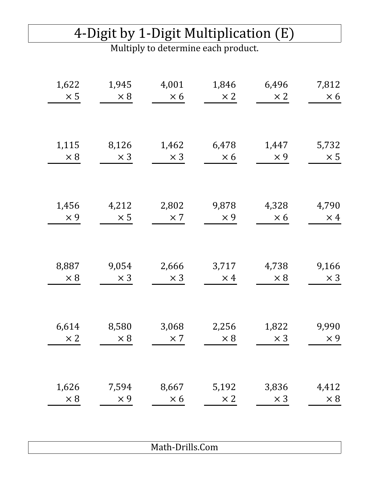#### 4-Digit by 1-Digit Multiplication (E)

Multiply to determine each product.

| 1,622<br>$\times$ 5 | 1,945<br>$\times 8$ | 4,001<br>$\times 6$ | 1,846<br>$\times 2$ | 6,496<br>$\times 2$ | 7,812<br>$\times 6$ |
|---------------------|---------------------|---------------------|---------------------|---------------------|---------------------|
|                     |                     |                     |                     |                     |                     |
| 1,115               | 8,126               | 1,462               | 6,478               | 1,447               | 5,732               |
| $\times 8$          | $\times$ 3          | $\times$ 3          | $\times 6$          | $\times$ 9          | $\times$ 5          |
|                     |                     |                     |                     |                     |                     |
| 1,456               | 4,212               | 2,802               | 9,878               | 4,328               | 4,790               |
| $\times$ 9          | $\times$ 5          | $\times 7$          | $\times 9$          | $\times 6$          | $\times$ 4          |
|                     |                     |                     |                     |                     |                     |
| 8,887               | 9,054               | 2,666               | 3,717               | 4,738               | 9,166               |
| $\times 8$          | $\times$ 3          | $\times$ 3          | $\times$ 4          | $\times 8$          | $\times$ 3          |
|                     |                     |                     |                     |                     |                     |
| 6,614               | 8,580               | 3,068               | 2,256               | 1,822               | 9,990               |
| $\times 2$          | $\times 8$          | $\times$ 7          | $\times 8$          | $\times$ 3          | $\times 9$          |
|                     |                     |                     |                     |                     |                     |
| 1,626               | 7,594               | 8,667               | 5,192               | 3,836               | 4,412               |
| $\times 8$          | $\times$ 9          | $\times 6$          | $\times 2$          | $\times$ 3          | $\times 8$          |
|                     |                     |                     |                     |                     |                     |
|                     |                     |                     |                     |                     |                     |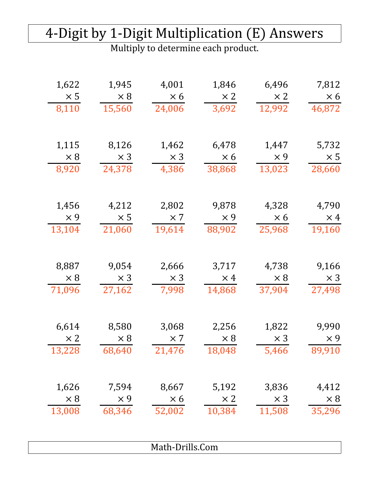#### 4-Digit by 1-Digit Multiplication (E) Answers

| 1,622      | 1,945      | 4,001           | 1,846      | 6,496      | 7,812      |
|------------|------------|-----------------|------------|------------|------------|
| $\times$ 5 | $\times 8$ | $\times 6$      | $\times 2$ | $\times 2$ | $\times 6$ |
| 8,110      | 15,560     | 24,006          | 3,692      | 12,992     | 46,872     |
|            |            |                 |            |            |            |
| 1,115      | 8,126      | 1,462           | 6,478      | 1,447      | 5,732      |
| $\times 8$ | $\times$ 3 | $\times$ 3      | $\times 6$ | $\times 9$ | $\times 5$ |
| 8,920      | 24,378     | 4,386           | 38,868     | 13,023     | 28,660     |
| 1,456      | 4,212      | 2,802           | 9,878      | 4,328      | 4,790      |
| $\times$ 9 | $\times$ 5 | $\times 7$      | $\times 9$ | $\times 6$ | $\times$ 4 |
| 13,104     | 21,060     | 19,614          | 88,902     | 25,968     | 19,160     |
|            |            |                 |            |            |            |
| 8,887      | 9,054      | 2,666           | 3,717      | 4,738      | 9,166      |
| $\times 8$ | $\times$ 3 | $\times$ 3      | $\times$ 4 | $\times 8$ | $\times$ 3 |
| 71,096     | 27,162     | 7,998           | 14,868     | 37,904     | 27,498     |
|            |            |                 |            |            |            |
| 6,614      | 8,580      | 3,068           | 2,256      | 1,822      | 9,990      |
| $\times 2$ | $\times 8$ | $\times 7$      | $\times 8$ | $\times$ 3 | $\times$ 9 |
| 13,228     | 68,640     | 21,476          | 18,048     | 5,466      | 89,910     |
| 1,626      | 7,594      | 8,667           | 5,192      | 3,836      | 4,412      |
| $\times 8$ | $\times 9$ | $\times 6$      | $\times 2$ | $\times$ 3 | $\times 8$ |
| 13,008     | 68,346     | 52,002          | 10,384     | 11,508     | 35,296     |
|            |            |                 |            |            |            |
|            |            |                 |            |            |            |
|            |            | Math-Drills.Com |            |            |            |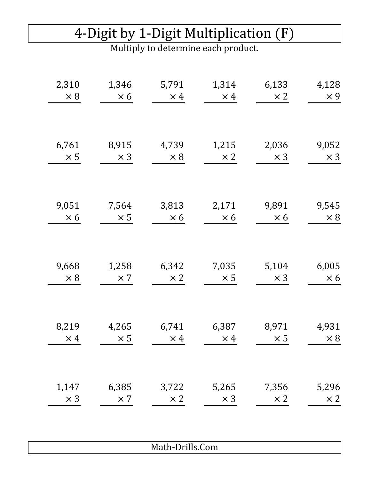### 4-Digit by 1-Digit Multiplication (F)

Multiply to determine each product.

| 2,310      | 1,346      | 5,791      | 1,314      | 6,133      | 4,128      |
|------------|------------|------------|------------|------------|------------|
| $\times 8$ | $\times 6$ | $\times$ 4 | $\times$ 4 | $\times 2$ | $\times$ 9 |
|            |            |            |            |            |            |
| 6,761      | 8,915      | 4,739      | 1,215      | 2,036      | 9,052      |
| $\times$ 5 | $\times$ 3 | $\times 8$ | $\times 2$ | $\times$ 3 | $\times$ 3 |
| 9,051      | 7,564      | 3,813      | 2,171      | 9,891      | 9,545      |
| $\times 6$ | $\times$ 5 | $\times 6$ | $\times 6$ | $\times 6$ | $\times 8$ |
| 9,668      | 1,258      | 6,342      | 7,035      | 5,104      | 6,005      |
| $\times 8$ | $\times 7$ | $\times 2$ | $\times 5$ | $\times$ 3 | $\times 6$ |
| 8,219      | 4,265      | 6,741      | 6,387      | 8,971      | 4,931      |
| $\times$ 4 | $\times$ 5 | $\times$ 4 | $\times$ 4 | $\times$ 5 | $\times 8$ |
| 1,147      | 6,385      | 3,722      | 5,265      | 7,356      | 5,296      |
| $\times$ 3 | $\times$ 7 | $\times 2$ | $\times$ 3 | $\times 2$ | $\times 2$ |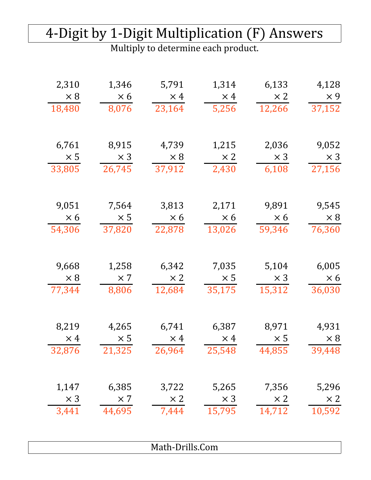#### 4-Digit by 1-Digit Multiplication (F) Answers

| 2,310<br>$\times 8$ | 1,346<br>$\times 6$ | 5,791<br>$\times$ 4 | 1,314<br>$\times$ 4 | 6,133<br>$\times 2$ | 4,128<br>$\times 9$ |
|---------------------|---------------------|---------------------|---------------------|---------------------|---------------------|
| 18,480              | 8,076               | 23,164              | 5,256               | 12,266              | 37,152              |
| 6,761               | 8,915               | 4,739               | 1,215               | 2,036               | 9,052               |
| $\times 5$          | $\times$ 3          | $\times 8$          | $\times 2$          | $\times$ 3          | $\times$ 3          |
| 33,805              | 26,745              | 37,912              | 2,430               | 6,108               | 27,156              |
| 9,051               | 7,564               | 3,813               | 2,171               | 9,891               | 9,545               |
| $\times 6$          | $\times 5$          | $\times 6$          | $\times 6$          | $\times 6$          | $\times 8$          |
| 54,306              | 37,820              | 22,878              | 13,026              | 59,346              | 76,360              |
| 9,668               | 1,258               | 6,342               | 7,035               | 5,104               | 6,005               |
| $\times 8$          | $\times 7$          | $\times 2$          | $\times 5$          | $\times$ 3          | $\times 6$          |
| 77,344              | 8,806               | 12,684              | 35,175              | 15,312              | 36,030              |
| 8,219               | 4,265               | 6,741               | 6,387               | 8,971               | 4,931               |
| $\times$ 4          | $\times 5$          | $\times$ 4          | $\times$ 4          | $\times 5$          | $\times 8$          |
| 32,876              | 21,325              | 26,964              | 25,548              | 44,855              | 39,448              |
| 1,147               | 6,385               | 3,722               | 5,265               | 7,356               | 5,296               |
| $\times$ 3          | $\times 7$          | $\times 2$          | $\times 3$          | $\times 2$          | $\times 2$          |
| 3,441               | 44,695              | 7,444               | 15,795              | 14,712              | 10,592              |
|                     |                     | Math-Drills.Com     |                     |                     |                     |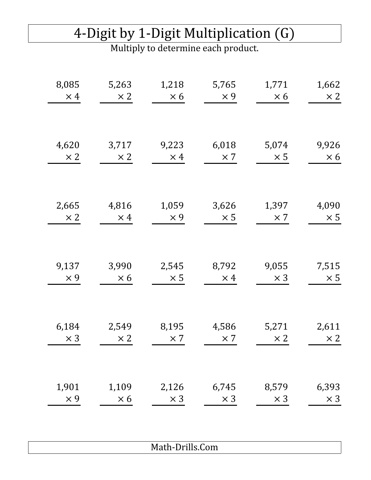### 4-Digit by 1-Digit Multiplication (G)

Multiply to determine each product.

| 8,085      | 5,263      | 1,218      | 5,765      | 1,771      | 1,662      |
|------------|------------|------------|------------|------------|------------|
| $\times$ 4 | $\times 2$ | $\times 6$ | $\times 9$ | $\times 6$ | $\times 2$ |
| 4,620      | 3,717      | 9,223      | 6,018      | 5,074      | 9,926      |
| $\times 2$ | $\times 2$ | $\times$ 4 | $\times 7$ | $\times$ 5 | $\times 6$ |
| 2,665      | 4,816      | 1,059      | 3,626      | 1,397      | 4,090      |
| $\times 2$ | $\times$ 4 | $\times$ 9 | $\times 5$ | $\times 7$ | $\times$ 5 |
| 9,137      | 3,990      | 2,545      | 8,792      | 9,055      | 7,515      |
| $\times$ 9 | $\times 6$ | $\times 5$ | $\times$ 4 | $\times$ 3 | $\times$ 5 |
| 6,184      | 2,549      | 8,195      | 4,586      | 5,271      | 2,611      |
| $\times$ 3 | $\times 2$ | $\times$ 7 | $\times 7$ | $\times 2$ | $\times 2$ |
| 1,901      | 1,109      | 2,126      | 6,745      | 8,579      | 6,393      |
| $\times$ 9 | $\times 6$ | $\times$ 3 | $\times$ 3 | $\times$ 3 | $\times$ 3 |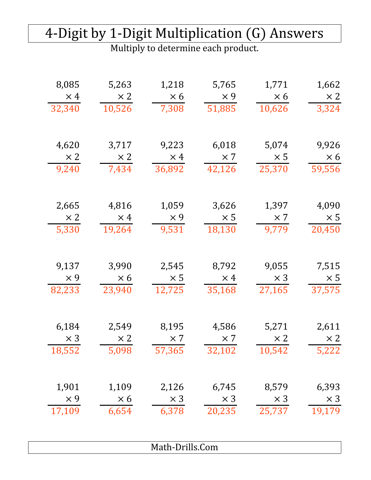### 4-Digit by 1-Digit Multiplication (G) Answers

| 8,085      | 5,263      | 1,218           | 5,765      | 1,771      | 1,662      |
|------------|------------|-----------------|------------|------------|------------|
| $\times$ 4 | $\times 2$ | $\times 6$      | $\times$ 9 | $\times 6$ | $\times 2$ |
| 32,340     | 10,526     | 7,308           | 51,885     | 10,626     | 3,324      |
| 4,620      | 3,717      | 9,223           | 6,018      | 5,074      | 9,926      |
| $\times 2$ | $\times 2$ | $\times$ 4      | $\times 7$ | $\times 5$ | $\times 6$ |
| 9,240      | 7,434      | 36,892          | 42,126     | 25,370     | 59,556     |
| 2,665      | 4,816      | 1,059           | 3,626      | 1,397      | 4,090      |
| $\times 2$ | $\times$ 4 | $\times 9$      | $\times$ 5 | $\times 7$ | $\times 5$ |
| 5,330      | 19,264     | 9,531           | 18,130     | 9,779      | 20,450     |
| 9,137      | 3,990      | 2,545           | 8,792      | 9,055      | 7,515      |
| $\times$ 9 | $\times 6$ | $\times$ 5      | $\times$ 4 | $\times$ 3 | $\times$ 5 |
| 82,233     | 23,940     | 12,725          | 35,168     | 27,165     | 37,575     |
| 6,184      | 2,549      | 8,195           | 4,586      | 5,271      | 2,611      |
| $\times$ 3 | $\times 2$ | $\times 7$      | $\times 7$ | $\times 2$ | $\times 2$ |
| 18,552     | 5,098      | 57,365          | 32,102     | 10,542     | 5,222      |
| 1,901      | 1,109      | 2,126           | 6,745      | 8,579      | 6,393      |
| $\times$ 9 | $\times 6$ | $\times$ 3      | $\times 3$ | $\times$ 3 | $\times$ 3 |
| 17,109     | 6,654      | 6,378           | 20,235     | 25,737     | 19,179     |
|            |            | Math-Drills.Com |            |            |            |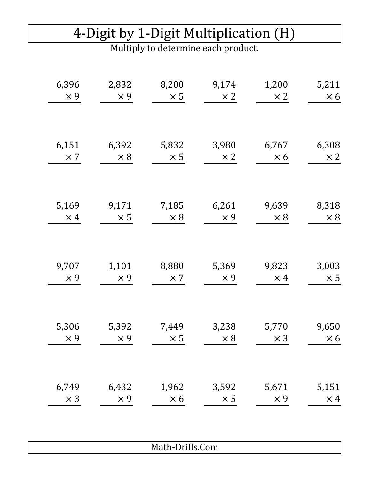# 4-Digit by 1-Digit Multiplication (H)

Multiply to determine each product.

| 6,396      | 2,832      | 8,200      | 9,174      | 1,200      | 5,211      |
|------------|------------|------------|------------|------------|------------|
| $\times$ 9 | $\times$ 9 | $\times$ 5 | $\times 2$ | $\times 2$ | $\times 6$ |
| 6,151      | 6,392      | 5,832      | 3,980      | 6,767      | 6,308      |
| $\times$ 7 | $\times 8$ | $\times$ 5 | $\times 2$ | $\times 6$ | $\times 2$ |
| 5,169      | 9,171      | 7,185      | 6,261      | 9,639      | 8,318      |
| $\times$ 4 | $\times$ 5 | $\times 8$ | $\times$ 9 | $\times 8$ | $\times 8$ |
| 9,707      | 1,101      | 8,880      | 5,369      | 9,823      | 3,003      |
| $\times 9$ | $\times 9$ | $\times 7$ | $\times 9$ | $\times$ 4 | $\times$ 5 |
| 5,306      | 5,392      | 7,449      | 3,238      | 5,770      | 9,650      |
| $\times$ 9 | $\times 9$ | $\times$ 5 | $\times 8$ | $\times$ 3 | $\times 6$ |
| 6,749      | 6,432      | 1,962      | 3,592      | 5,671      | 5,151      |
| $\times$ 3 | $\times$ 9 | $\times 6$ | $\times$ 5 | $\times 9$ | $\times$ 4 |
|            |            |            |            |            |            |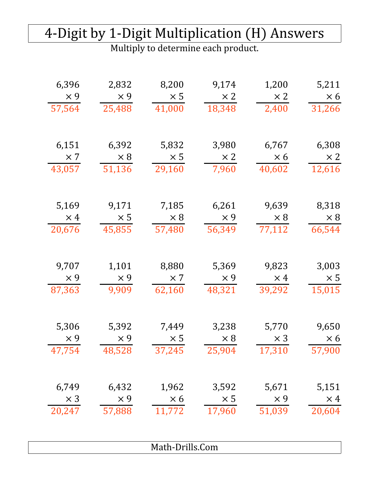#### 4-Digit by 1-Digit Multiplication (H) Answers

| 6,396      | 2,832      | 8,200           | 9,174      | 1,200      | 5,211      |
|------------|------------|-----------------|------------|------------|------------|
| $\times$ 9 | $\times 9$ | $\times$ 5      | $\times 2$ | $\times 2$ | $\times 6$ |
| 57,564     | 25,488     | 41,000          | 18,348     | 2,400      | 31,266     |
| 6,151      | 6,392      | 5,832           | 3,980      | 6,767      | 6,308      |
| $\times$ 7 | $\times 8$ | $\times$ 5      | $\times 2$ | $\times 6$ | $\times 2$ |
| 43,057     | 51,136     | 29,160          | 7,960      | 40,602     | 12,616     |
| 5,169      | 9,171      | 7,185           | 6,261      | 9,639      | 8,318      |
| $\times$ 4 | $\times 5$ | $\times 8$      | $\times$ 9 | $\times 8$ | $\times 8$ |
| 20,676     | 45,855     | 57,480          | 56,349     | 77,112     | 66,544     |
| 9,707      | 1,101      | 8,880           | 5,369      | 9,823      | 3,003      |
| $\times$ 9 | $\times 9$ | $\times 7$      | $\times 9$ | $\times$ 4 | $\times$ 5 |
| 87,363     | 9,909      | 62,160          | 48,321     | 39,292     | 15,015     |
| 5,306      | 5,392      | 7,449           | 3,238      | 5,770      | 9,650      |
| $\times$ 9 | $\times 9$ | $\times$ 5      | $\times 8$ | $\times$ 3 | $\times 6$ |
| 47,754     | 48,528     | 37,245          | 25,904     | 17,310     | 57,900     |
| 6,749      | 6,432      | 1,962           | 3,592      | 5,671      | 5,151      |
| $\times$ 3 | $\times$ 9 | $\times 6$      | $\times$ 5 | $\times$ 9 | $\times$ 4 |
| 20,247     | 57,888     | 11,772          | 17,960     | 51,039     | 20,604     |
|            |            | Math-Drills.Com |            |            |            |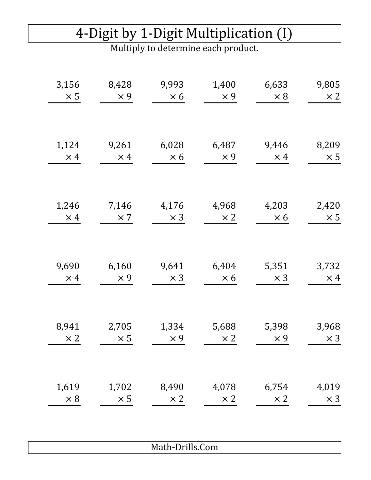### 4-Digit by 1-Digit Multiplication (I)

Multiply to determine each product.

| 3,156      | 8,428      | 9,993      | 1,400      | 6,633      | 9,805      |
|------------|------------|------------|------------|------------|------------|
| $\times$ 5 | $\times$ 9 | $\times 6$ | $\times$ 9 | $\times 8$ | $\times 2$ |
| 1,124      | 9,261      | 6,028      | 6,487      | 9,446      | 8,209      |
| $\times$ 4 | $\times$ 4 | $\times 6$ | $\times$ 9 | $\times$ 4 | $\times$ 5 |
| 1,246      | 7,146      | 4,176      | 4,968      | 4,203      | 2,420      |
| $\times$ 4 | $\times 7$ | $\times$ 3 | $\times 2$ | $\times 6$ | $\times$ 5 |
| 9,690      | 6,160      | 9,641      | 6,404      | 5,351      | 3,732      |
| $\times$ 4 | $\times$ 9 | $\times$ 3 | $\times 6$ | $\times$ 3 | $\times$ 4 |
| 8,941      | 2,705      | 1,334      | 5,688      | 5,398      | 3,968      |
| $\times 2$ | $\times$ 5 | $\times$ 9 | $\times 2$ | $\times$ 9 | $\times 3$ |
| 1,619      | 1,702      | 8,490      | 4,078      | 6,754      | 4,019      |
| $\times 8$ | $\times 5$ | $\times 2$ | $\times 2$ | $\times 2$ | $\times$ 3 |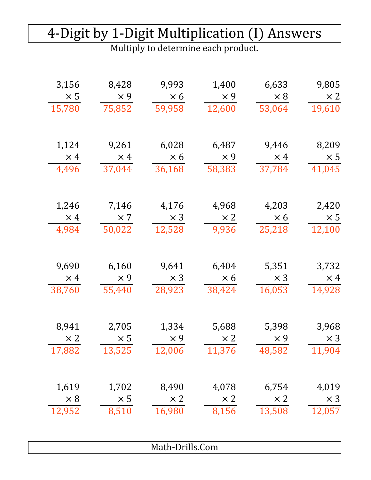### 4-Digit by 1-Digit Multiplication (I) Answers

| 3,156<br>$\times$ 5<br>15,780 | 8,428<br>$\times$ 9<br>75,852 | 9,993<br>$\times 6$<br>59,958 | 1,400<br>$\times$ 9<br>12,600 | 6,633<br>$\times 8$<br>53,064 | 9,805<br>$\times 2$<br>19,610 |
|-------------------------------|-------------------------------|-------------------------------|-------------------------------|-------------------------------|-------------------------------|
|                               |                               |                               |                               |                               |                               |
| 1,124                         | 9,261                         | 6,028                         | 6,487                         | 9,446                         | 8,209                         |
| $\times$ 4                    | $\times$ 4                    | $\times 6$                    | $\times$ 9                    | $\times$ 4                    | $\times$ 5                    |
| 4,496                         | 37,044                        | 36,168                        | 58,383                        | 37,784                        | 41,045                        |
| 1,246                         | 7,146                         | 4,176                         | 4,968                         | 4,203                         | 2,420                         |
| $\times$ 4                    | $\times 7$                    | $\times$ 3                    | $\times 2$                    | $\times 6$                    | $\times 5$                    |
| 4,984                         | 50,022                        | 12,528                        | 9,936                         | 25,218                        | 12,100                        |
| 9,690                         | 6,160                         | 9,641                         | 6,404                         | 5,351                         | 3,732                         |
| $\times$ 4                    | $\times$ 9                    | $\times$ 3                    | $\times 6$                    | $\times$ 3                    | $\times$ 4                    |
| 38,760                        | 55,440                        | 28,923                        | 38,424                        | 16,053                        | 14,928                        |
| 8,941                         | 2,705                         | 1,334                         | 5,688                         | 5,398                         | 3,968                         |
| $\times 2$                    | $\times 5$                    | $\times 9$                    | $\times 2$                    | $\times$ 9                    | $\times 3$                    |
| 17,882                        | 13,525                        | 12,006                        | 11,376                        | 48,582                        | 11,904                        |
| 1,619                         | 1,702                         | 8,490                         | 4,078                         | 6,754                         | 4,019                         |
| $\times 8$                    | $\times 5$                    | $\times 2$                    | $\times 2$                    | $\times 2$                    | $\times$ 3                    |
| 12,952                        | 8,510                         | 16,980                        | 8,156                         | 13,508                        | 12,057                        |
|                               |                               | Math-Drills.Com               |                               |                               |                               |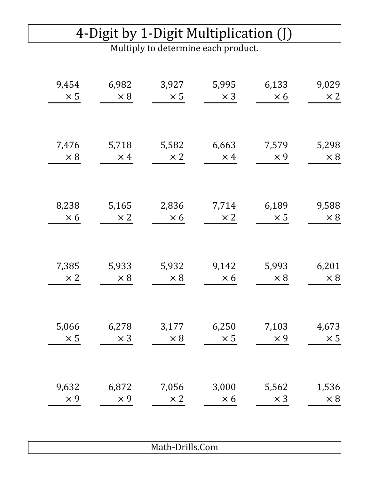### 4-Digit by 1-Digit Multiplication (J)

Multiply to determine each product.

| 9,454      | 6,982      | 3,927      | 5,995      | 6,133      | 9,029      |
|------------|------------|------------|------------|------------|------------|
| $\times$ 5 | $\times 8$ | $\times$ 5 | $\times$ 3 | $\times 6$ | $\times 2$ |
| 7,476      | 5,718      | 5,582      | 6,663      | 7,579      | 5,298      |
| $\times 8$ | $\times$ 4 | $\times 2$ | $\times$ 4 | $\times$ 9 | $\times 8$ |
| 8,238      | 5,165      | 2,836      | 7,714      | 6,189      | 9,588      |
| $\times 6$ | $\times 2$ | $\times 6$ | $\times 2$ | $\times$ 5 | $\times 8$ |
| 7,385      | 5,933      | 5,932      | 9,142      | 5,993      | 6,201      |
| $\times 2$ | $\times 8$ | $\times 8$ | $\times 6$ | $\times 8$ | $\times 8$ |
| 5,066      | 6,278      | 3,177      | 6,250      | 7,103      | 4,673      |
| $\times 5$ | $\times 3$ | $\times 8$ | $\times$ 5 | $\times$ 9 | $\times$ 5 |
| 9,632      | 6,872      | 7,056      | 3,000      | 5,562      | 1,536      |
| $\times$ 9 | $\times$ 9 | $\times 2$ | $\times 6$ | $\times$ 3 | $\times 8$ |
|            |            |            |            |            |            |